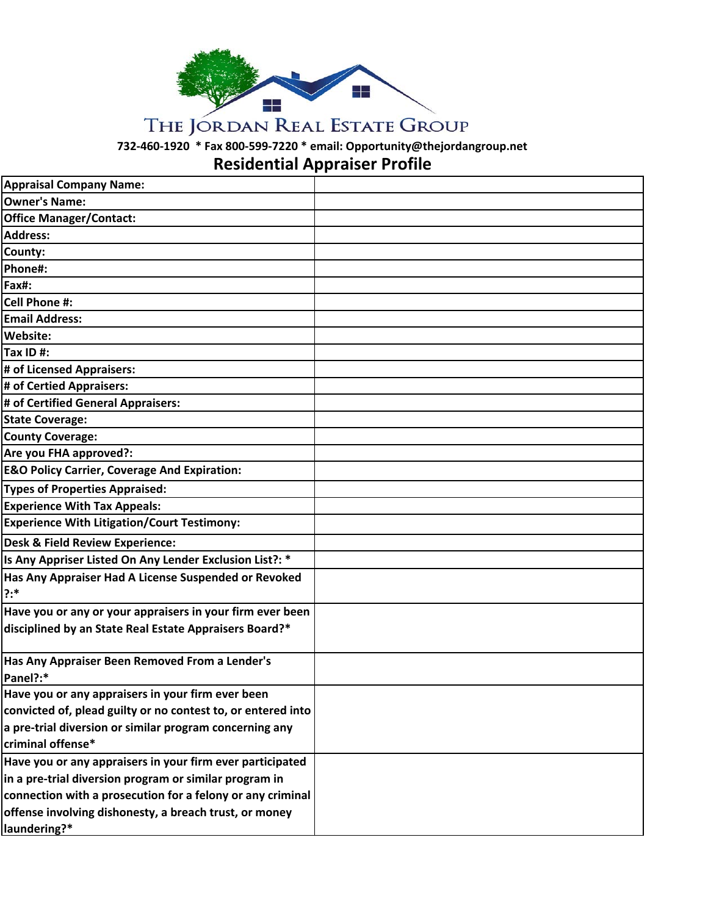

## THE JORDAN REAL ESTATE GROUP

**732‐460‐1920 \* Fax 800‐599‐7220 \* email: Opportunity@thejordangroup.net**

## **Residential Appraiser Profile**

| <b>Appraisal Company Name:</b>                                  |  |
|-----------------------------------------------------------------|--|
| <b>Owner's Name:</b>                                            |  |
| <b>Office Manager/Contact:</b>                                  |  |
| <b>Address:</b>                                                 |  |
| County:                                                         |  |
| Phone#:                                                         |  |
| Fax#:                                                           |  |
| <b>Cell Phone #:</b>                                            |  |
| <b>Email Address:</b>                                           |  |
| Website:                                                        |  |
| Tax ID $#$ :                                                    |  |
| # of Licensed Appraisers:                                       |  |
| # of Certied Appraisers:                                        |  |
| # of Certified General Appraisers:                              |  |
| <b>State Coverage:</b>                                          |  |
| <b>County Coverage:</b>                                         |  |
| Are you FHA approved?:                                          |  |
| <b>E&amp;O Policy Carrier, Coverage And Expiration:</b>         |  |
| <b>Types of Properties Appraised:</b>                           |  |
| <b>Experience With Tax Appeals:</b>                             |  |
| <b>Experience With Litigation/Court Testimony:</b>              |  |
| <b>Desk &amp; Field Review Experience:</b>                      |  |
| Is Any Appriser Listed On Any Lender Exclusion List?: *         |  |
| Has Any Appraiser Had A License Suspended or Revoked<br>$? : *$ |  |
| Have you or any or your appraisers in your firm ever been       |  |
| disciplined by an State Real Estate Appraisers Board?*          |  |
| Has Any Appraiser Been Removed From a Lender's<br>Panel?:*      |  |
| Have you or any appraisers in your firm ever been               |  |
| convicted of, plead guilty or no contest to, or entered into    |  |
| a pre-trial diversion or similar program concerning any         |  |
| criminal offense*                                               |  |
| Have you or any appraisers in your firm ever participated       |  |
| in a pre-trial diversion program or similar program in          |  |
| connection with a prosecution for a felony or any criminal      |  |
| offense involving dishonesty, a breach trust, or money          |  |
| laundering?*                                                    |  |